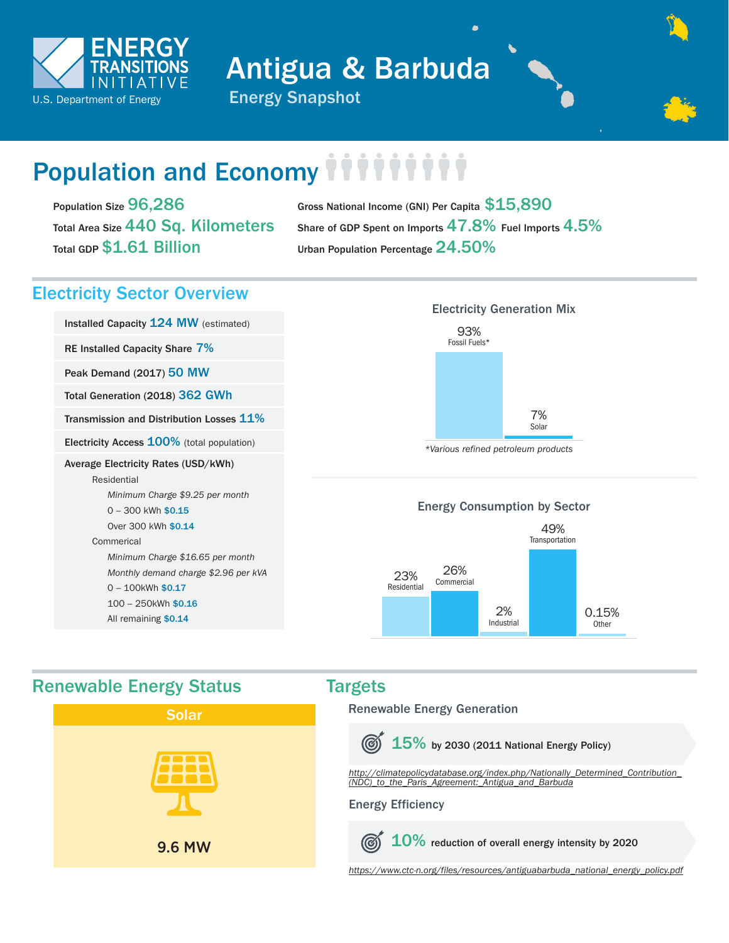

Antigua & Barbuda



# Population and Economy **THITTTTT**

Population Size 96,286 Total Area Size 440 Sq. Kilometers Total GDP \$1.61 Billion

Gross National Income (GNI) Per Capita \$15,890 Share of GDP Spent on Imports 47.8% Fuel Imports 4.5% Urban Population Percentage 24.50%

## Electricity Sector Overview

Installed Capacity 124 MW (estimated)

RE Installed Capacity Share 7%

Peak Demand (2017) 50 MW

Total Generation (2018) 362 GWh

Transmission and Distribution Losses 11%

Electricity Access 100% (total population)

#### Average Electricity Rates (USD/kWh)

Residential *Minimum Charge \$9.25 per month* 0 - 300 kWh \$0.15 Over 300 kWh \$0.14 Commerical  *Minimum Charge \$16.65 per month Monthly demand charge \$2.96 per kVA* 0 – 100kWh \$0.17 100 – 250kWh \$0.16

All remaining \$0.14

## 93% Fossil Fuels\* 7% Solar Electricity Generation Mix

*\*Various refined petroleum products*

#### Energy Consumption by Sector